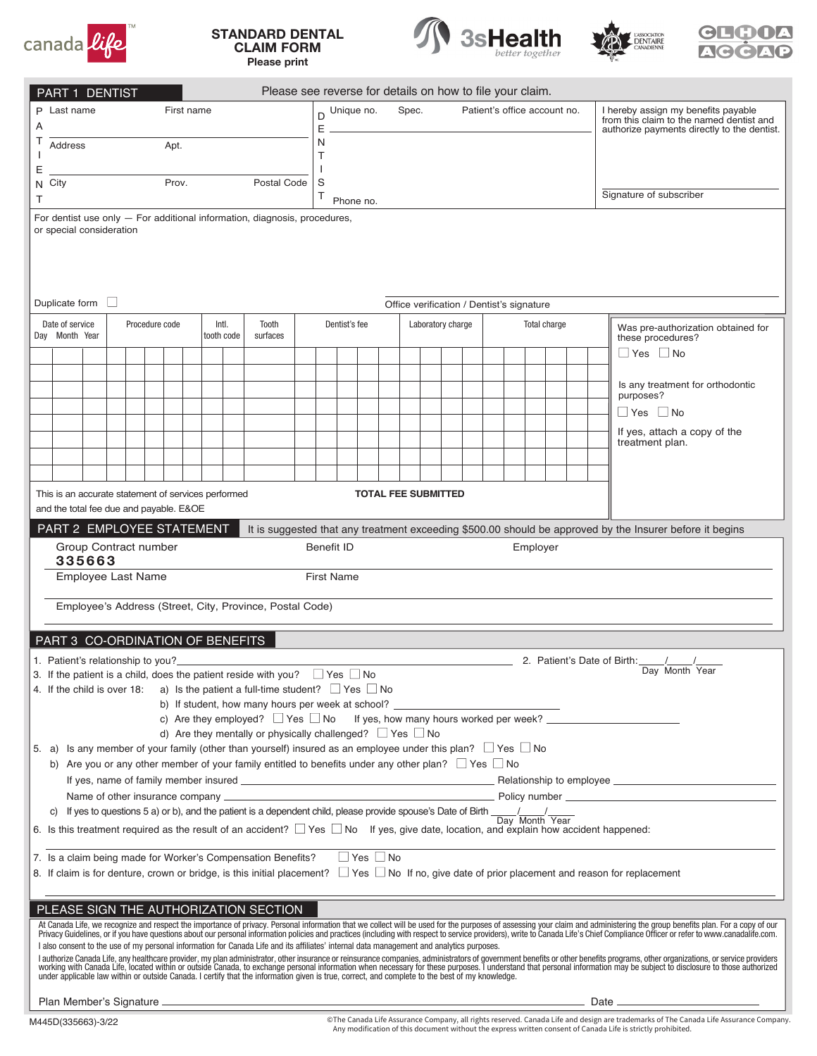

## STANDARD DENTAL CLAIM FORM Please print







| Please see reverse for details on how to file your claim.<br><b>PART 1 DENTIST</b>                                                                                                                                                                                                                                                                                          |                |  |              |            |        |  |                                                                                                                                     |           |               |  |  |                              |                                                           |                                             |  |  |                                                                                 |  |  |  |  |  |                                                                                                                                                                                                                                      |  |
|-----------------------------------------------------------------------------------------------------------------------------------------------------------------------------------------------------------------------------------------------------------------------------------------------------------------------------------------------------------------------------|----------------|--|--------------|------------|--------|--|-------------------------------------------------------------------------------------------------------------------------------------|-----------|---------------|--|--|------------------------------|-----------------------------------------------------------|---------------------------------------------|--|--|---------------------------------------------------------------------------------|--|--|--|--|--|--------------------------------------------------------------------------------------------------------------------------------------------------------------------------------------------------------------------------------------|--|
| P Last name                                                                                                                                                                                                                                                                                                                                                                 | First name     |  | D Unique no. |            |        |  | Spec.                                                                                                                               |           |               |  |  | Patient's office account no. |                                                           |                                             |  |  | I hereby assign my benefits payable<br>from this claim to the named dentist and |  |  |  |  |  |                                                                                                                                                                                                                                      |  |
| A<br>Т                                                                                                                                                                                                                                                                                                                                                                      |                |  |              |            | E<br>N |  |                                                                                                                                     |           |               |  |  |                              |                                                           | authorize payments directly to the dentist. |  |  |                                                                                 |  |  |  |  |  |                                                                                                                                                                                                                                      |  |
| Address<br>Apt.                                                                                                                                                                                                                                                                                                                                                             |                |  |              |            |        |  |                                                                                                                                     |           | T             |  |  |                              |                                                           |                                             |  |  |                                                                                 |  |  |  |  |  |                                                                                                                                                                                                                                      |  |
| Ε<br>Prov.<br>N City                                                                                                                                                                                                                                                                                                                                                        |                |  |              |            |        |  | Postal Code                                                                                                                         |           | S             |  |  |                              |                                                           |                                             |  |  |                                                                                 |  |  |  |  |  |                                                                                                                                                                                                                                      |  |
| Τ                                                                                                                                                                                                                                                                                                                                                                           |                |  |              |            |        |  | Τ                                                                                                                                   | Phone no. |               |  |  |                              |                                                           |                                             |  |  | Signature of subscriber                                                         |  |  |  |  |  |                                                                                                                                                                                                                                      |  |
| For dentist use only $-$ For additional information, diagnosis, procedures,                                                                                                                                                                                                                                                                                                 |                |  |              |            |        |  |                                                                                                                                     |           |               |  |  |                              |                                                           |                                             |  |  |                                                                                 |  |  |  |  |  |                                                                                                                                                                                                                                      |  |
| or special consideration                                                                                                                                                                                                                                                                                                                                                    |                |  |              |            |        |  |                                                                                                                                     |           |               |  |  |                              |                                                           |                                             |  |  |                                                                                 |  |  |  |  |  |                                                                                                                                                                                                                                      |  |
|                                                                                                                                                                                                                                                                                                                                                                             |                |  |              |            |        |  |                                                                                                                                     |           |               |  |  |                              |                                                           |                                             |  |  |                                                                                 |  |  |  |  |  |                                                                                                                                                                                                                                      |  |
|                                                                                                                                                                                                                                                                                                                                                                             |                |  |              |            |        |  |                                                                                                                                     |           |               |  |  |                              |                                                           |                                             |  |  |                                                                                 |  |  |  |  |  |                                                                                                                                                                                                                                      |  |
| Duplicate form $\Box$                                                                                                                                                                                                                                                                                                                                                       |                |  |              |            |        |  |                                                                                                                                     |           |               |  |  |                              |                                                           |                                             |  |  |                                                                                 |  |  |  |  |  |                                                                                                                                                                                                                                      |  |
| Intl.<br>Date of service<br>Procedure code<br>Tooth                                                                                                                                                                                                                                                                                                                         |                |  |              |            |        |  |                                                                                                                                     |           | Dentist's fee |  |  |                              | Office verification / Dentist's signature<br>Total charge |                                             |  |  |                                                                                 |  |  |  |  |  |                                                                                                                                                                                                                                      |  |
|                                                                                                                                                                                                                                                                                                                                                                             | Day Month Year |  |              | tooth code |        |  | surfaces                                                                                                                            |           |               |  |  |                              | Laboratory charge                                         |                                             |  |  |                                                                                 |  |  |  |  |  | Was pre-authorization obtained for<br>these procedures?                                                                                                                                                                              |  |
|                                                                                                                                                                                                                                                                                                                                                                             |                |  |              |            |        |  |                                                                                                                                     |           |               |  |  |                              |                                                           |                                             |  |  |                                                                                 |  |  |  |  |  | $\Box$ Yes $\Box$ No                                                                                                                                                                                                                 |  |
|                                                                                                                                                                                                                                                                                                                                                                             |                |  |              |            |        |  |                                                                                                                                     |           |               |  |  |                              |                                                           |                                             |  |  |                                                                                 |  |  |  |  |  |                                                                                                                                                                                                                                      |  |
|                                                                                                                                                                                                                                                                                                                                                                             |                |  |              |            |        |  |                                                                                                                                     |           |               |  |  |                              |                                                           |                                             |  |  |                                                                                 |  |  |  |  |  | Is any treatment for orthodontic<br>purposes?                                                                                                                                                                                        |  |
|                                                                                                                                                                                                                                                                                                                                                                             |                |  |              |            |        |  |                                                                                                                                     |           |               |  |  |                              |                                                           |                                             |  |  |                                                                                 |  |  |  |  |  | $\Box$ Yes $\Box$ No                                                                                                                                                                                                                 |  |
|                                                                                                                                                                                                                                                                                                                                                                             |                |  |              |            |        |  |                                                                                                                                     |           |               |  |  |                              |                                                           |                                             |  |  |                                                                                 |  |  |  |  |  | If yes, attach a copy of the<br>treatment plan.                                                                                                                                                                                      |  |
|                                                                                                                                                                                                                                                                                                                                                                             |                |  |              |            |        |  |                                                                                                                                     |           |               |  |  |                              |                                                           |                                             |  |  |                                                                                 |  |  |  |  |  |                                                                                                                                                                                                                                      |  |
|                                                                                                                                                                                                                                                                                                                                                                             |                |  |              |            |        |  |                                                                                                                                     |           |               |  |  |                              |                                                           |                                             |  |  |                                                                                 |  |  |  |  |  |                                                                                                                                                                                                                                      |  |
| <b>TOTAL FEE SUBMITTED</b><br>This is an accurate statement of services performed                                                                                                                                                                                                                                                                                           |                |  |              |            |        |  |                                                                                                                                     |           |               |  |  |                              |                                                           |                                             |  |  |                                                                                 |  |  |  |  |  |                                                                                                                                                                                                                                      |  |
| and the total fee due and payable. E&OE                                                                                                                                                                                                                                                                                                                                     |                |  |              |            |        |  |                                                                                                                                     |           |               |  |  |                              |                                                           |                                             |  |  |                                                                                 |  |  |  |  |  |                                                                                                                                                                                                                                      |  |
| PART 2 EMPLOYEE STATEMENT<br>It is suggested that any treatment exceeding \$500.00 should be approved by the Insurer before it begins                                                                                                                                                                                                                                       |                |  |              |            |        |  |                                                                                                                                     |           |               |  |  |                              |                                                           |                                             |  |  |                                                                                 |  |  |  |  |  |                                                                                                                                                                                                                                      |  |
| Group Contract number<br><b>Benefit ID</b><br>Employer<br>335663                                                                                                                                                                                                                                                                                                            |                |  |              |            |        |  |                                                                                                                                     |           |               |  |  |                              |                                                           |                                             |  |  |                                                                                 |  |  |  |  |  |                                                                                                                                                                                                                                      |  |
| Employee Last Name<br><b>First Name</b>                                                                                                                                                                                                                                                                                                                                     |                |  |              |            |        |  |                                                                                                                                     |           |               |  |  |                              |                                                           |                                             |  |  |                                                                                 |  |  |  |  |  |                                                                                                                                                                                                                                      |  |
| Employee's Address (Street, City, Province, Postal Code)                                                                                                                                                                                                                                                                                                                    |                |  |              |            |        |  |                                                                                                                                     |           |               |  |  |                              |                                                           |                                             |  |  |                                                                                 |  |  |  |  |  |                                                                                                                                                                                                                                      |  |
|                                                                                                                                                                                                                                                                                                                                                                             |                |  |              |            |        |  |                                                                                                                                     |           |               |  |  |                              |                                                           |                                             |  |  |                                                                                 |  |  |  |  |  |                                                                                                                                                                                                                                      |  |
| PART 3 CO-ORDINATION OF BENEFITS                                                                                                                                                                                                                                                                                                                                            |                |  |              |            |        |  |                                                                                                                                     |           |               |  |  |                              |                                                           |                                             |  |  |                                                                                 |  |  |  |  |  |                                                                                                                                                                                                                                      |  |
| 1. Patient's relationship to you?                                                                                                                                                                                                                                                                                                                                           |                |  |              |            |        |  |                                                                                                                                     |           |               |  |  |                              |                                                           |                                             |  |  |                                                                                 |  |  |  |  |  |                                                                                                                                                                                                                                      |  |
| 2. Patient's Date of Birth: \[ \]<br>Day Month Year<br>3. If the patient is a child, does the patient reside with you? $\Box$ Yes $\Box$ No                                                                                                                                                                                                                                 |                |  |              |            |        |  |                                                                                                                                     |           |               |  |  |                              |                                                           |                                             |  |  |                                                                                 |  |  |  |  |  |                                                                                                                                                                                                                                      |  |
| 4. If the child is over 18: a) Is the patient a full-time student? $\Box$ Yes $\Box$ No<br>b) If student, how many hours per week at school?                                                                                                                                                                                                                                |                |  |              |            |        |  |                                                                                                                                     |           |               |  |  |                              |                                                           |                                             |  |  |                                                                                 |  |  |  |  |  |                                                                                                                                                                                                                                      |  |
|                                                                                                                                                                                                                                                                                                                                                                             |                |  |              |            |        |  |                                                                                                                                     |           |               |  |  |                              |                                                           |                                             |  |  |                                                                                 |  |  |  |  |  | c) Are they employed? $\Box$ Yes $\Box$ No If yes, how many hours worked per week?                                                                                                                                                   |  |
|                                                                                                                                                                                                                                                                                                                                                                             |                |  |              |            |        |  | d) Are they mentally or physically challenged? $\Box$ Yes $\Box$ No                                                                 |           |               |  |  |                              |                                                           |                                             |  |  |                                                                                 |  |  |  |  |  |                                                                                                                                                                                                                                      |  |
| 5. a) Is any member of your family (other than yourself) insured as an employee under this plan? $\Box$ Yes $\Box$ No                                                                                                                                                                                                                                                       |                |  |              |            |        |  | b) Are you or any other member of your family entitled to benefits under any other plan? $\Box$ Yes $\Box$ No                       |           |               |  |  |                              |                                                           |                                             |  |  |                                                                                 |  |  |  |  |  |                                                                                                                                                                                                                                      |  |
|                                                                                                                                                                                                                                                                                                                                                                             |                |  |              |            |        |  |                                                                                                                                     |           |               |  |  |                              |                                                           |                                             |  |  |                                                                                 |  |  |  |  |  |                                                                                                                                                                                                                                      |  |
|                                                                                                                                                                                                                                                                                                                                                                             |                |  |              |            |        |  |                                                                                                                                     |           |               |  |  |                              |                                                           |                                             |  |  |                                                                                 |  |  |  |  |  | <u>Design and the contract of the contract of the contract of the contract of the contract of the contract of the contract of the contract of the contract of the contract of the contract of the contract of the contract of th</u> |  |
| C)                                                                                                                                                                                                                                                                                                                                                                          |                |  |              |            |        |  | If yes to questions 5 a) or b), and the patient is a dependent child, please provide spouse's Date of Birth $\frac{1}{\sqrt{2\pi}}$ |           |               |  |  |                              |                                                           |                                             |  |  |                                                                                 |  |  |  |  |  |                                                                                                                                                                                                                                      |  |
| 6. Is this treatment required as the result of an accident? $\Box$ Yes $\Box$ No If yes, give date, location, and explain how accident happened:                                                                                                                                                                                                                            |                |  |              |            |        |  |                                                                                                                                     |           |               |  |  |                              |                                                           |                                             |  |  |                                                                                 |  |  |  |  |  |                                                                                                                                                                                                                                      |  |
| 7. Is a claim being made for Worker's Compensation Benefits?                                                                                                                                                                                                                                                                                                                |                |  |              |            |        |  |                                                                                                                                     |           |               |  |  | $\Box$ Yes $\Box$ No         |                                                           |                                             |  |  |                                                                                 |  |  |  |  |  |                                                                                                                                                                                                                                      |  |
|                                                                                                                                                                                                                                                                                                                                                                             |                |  |              |            |        |  |                                                                                                                                     |           |               |  |  |                              |                                                           |                                             |  |  |                                                                                 |  |  |  |  |  | 8. If claim is for denture, crown or bridge, is this initial placement? □ Yes □ No If no, give date of prior placement and reason for replacement                                                                                    |  |
|                                                                                                                                                                                                                                                                                                                                                                             |                |  |              |            |        |  |                                                                                                                                     |           |               |  |  |                              |                                                           |                                             |  |  |                                                                                 |  |  |  |  |  |                                                                                                                                                                                                                                      |  |
| PLEASE SIGN THE AUTHORIZATION SECTION                                                                                                                                                                                                                                                                                                                                       |                |  |              |            |        |  |                                                                                                                                     |           |               |  |  |                              |                                                           |                                             |  |  |                                                                                 |  |  |  |  |  |                                                                                                                                                                                                                                      |  |
|                                                                                                                                                                                                                                                                                                                                                                             |                |  |              |            |        |  |                                                                                                                                     |           |               |  |  |                              |                                                           |                                             |  |  |                                                                                 |  |  |  |  |  | At Canada Life, we recognize and respect the importance of privacy. Personal information that we collect will be used for the purposes of assessing your claim and administering the group benefits plan. For a copy of our Pr       |  |
| I also consent to the use of my personal information for Canada Life and its affiliates' internal data management and analytics purposes.<br>I authorize Canada Life, any healthcare provider, my plan administrator, other insurance or reinsurance companies, administrators of government benefits or other benefits programs, other organizations, or service providers |                |  |              |            |        |  |                                                                                                                                     |           |               |  |  |                              |                                                           |                                             |  |  |                                                                                 |  |  |  |  |  |                                                                                                                                                                                                                                      |  |
|                                                                                                                                                                                                                                                                                                                                                                             |                |  |              |            |        |  |                                                                                                                                     |           |               |  |  |                              |                                                           |                                             |  |  |                                                                                 |  |  |  |  |  |                                                                                                                                                                                                                                      |  |

Plan Member's Signature **Date** Date of Plan Member's Signature Date of Plan Member's Signature Date

©The Canada Life Assurance Company, all rights reserved. Canada Life and design are trademarks of The Canada Life Assurance Company.<br>Any modification of this document without the express written consent of Canada Life is s